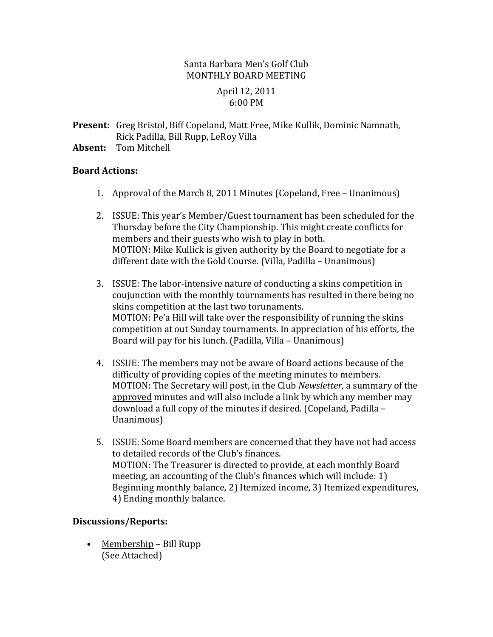# Santa Barbara Men's Golf Club MONTHLY BOARD MEETING

## April 12, 2011 6:00 PM

**Present:** Greg Bristol, Biff Copeland, Matt Free, Mike Kullik, Dominic Namnath, Rick Padilla, Bill Rupp, LeRoy Villa

**Absent:** Tom Mitchell

# **Board Actions:**

- 1. Approval of the March 8, 2011 Minutes (Copeland, Free Unanimous)
- 2. ISSUE: This year's Member/Guest tournament has been scheduled for the Thursday before the City Championship. This might create conflicts for members and their guests who wish to play in both. MOTION: Mike Kullick is given authority by the Board to negotiate for a different date with the Gold Course. (Villa, Padilla - Unanimous)
- 3. ISSUE: The labor-intensive nature of conducting a skins competition in coujunction with the monthly tournaments has resulted in there being no skins competition at the last two torunaments. MOTION: Pe'a Hill will take over the responsibility of running the skins competition at out Sunday tournaments. In appreciation of his efforts, the Board will pay for his lunch. (Padilla, Villa - Unanimous)
- 4. ISSUE: The members may not be aware of Board actions because of the difficulty of providing copies of the meeting minutes to members. MOTION: The Secretary will post, in the Club *Newsletter*, a summary of the approved minutes and will also include a link by which any member may download a full copy of the minutes if desired. (Copeland, Padilla – Unanimous)
- 5. ISSUE: Some Board members are concerned that they have not had access to detailed records of the Club's finances. MOTION: The Treasurer is directed to provide, at each monthly Board meeting, an accounting of the Club's finances which will include: 1) Beginning monthly balance, 2) Itemized income, 3) Itemized expenditures, 4) Ending monthly balance.

## **Discussions/Reports:**

• Membership – Bill Rupp (See Attached)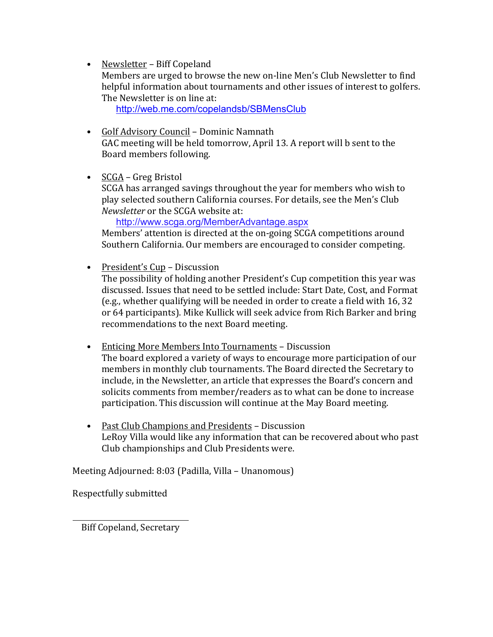• Newsletter - Biff Copeland

Members are urged to browse the new on-line Men's Club Newsletter to find helpful information about tournaments and other issues of interest to golfers. The Newsletter is on line at:

http://web.me.com/copelandsb/SBMensClub

- Golf Advisory Council Dominic Namnath GAC meeting will be held tomorrow, April 13. A report will b sent to the Board members following.
- $SCGA Greg Bristol$

SCGA has arranged savings throughout the year for members who wish to play selected southern California courses. For details, see the Men's Club *Newsletter* or the SCGA website at:

http://www.scga.org/MemberAdvantage.aspx

Members' attention is directed at the on-going SCGA competitions around Southern California. Our members are encouraged to consider competing.

• President's Cup – Discussion

The possibility of holding another President's Cup competition this year was discussed. Issues that need to be settled include: Start Date, Cost, and Format (e.g., whether qualifying will be needed in order to create a field with 16, 32 or 64 participants). Mike Kullick will seek advice from Rich Barker and bring recommendations to the next Board meeting.

- Enticing More Members Into Tournaments Discussion The board explored a variety of ways to encourage more participation of our members in monthly club tournaments. The Board directed the Secretary to include, in the Newsletter, an article that expresses the Board's concern and solicits comments from member/readers as to what can be done to increase participation. This discussion will continue at the May Board meeting.
- Past Club Champions and Presidents Discussion LeRoy Villa would like any information that can be recovered about who past Club championships and Club Presidents were.

Meeting Adjourned: 8:03 (Padilla, Villa – Unanomous)

Respectfully submitted

Biff Copeland, Secretary